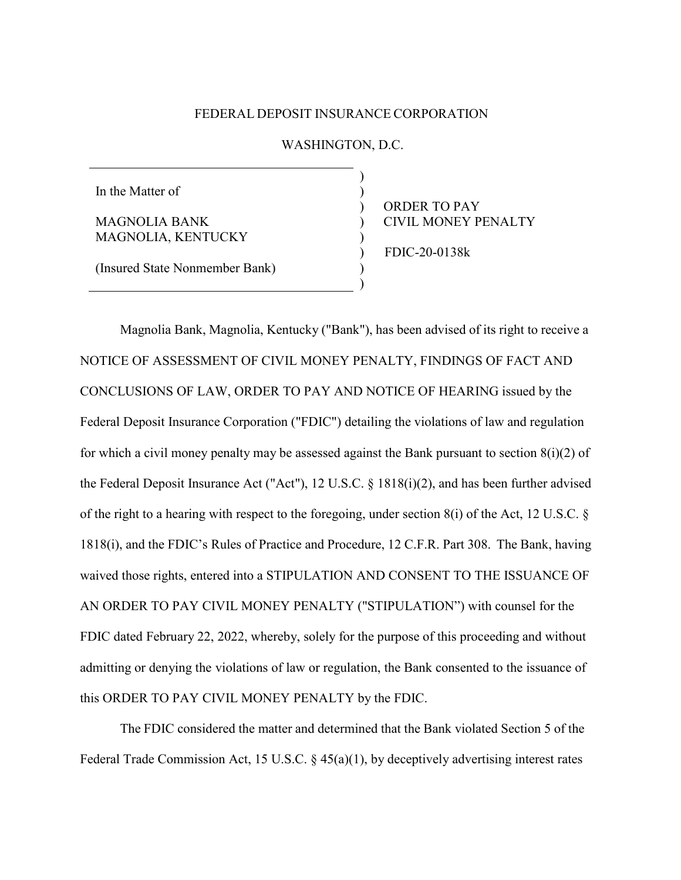## FEDERAL DEPOSIT INSURANCE CORPORATION

## WASHINGTON, D.C.

) ) ) ) ) ) ) )

In the Matter of

MAGNOLIA BANK MAGNOLIA, KENTUCKY ORDER TO PAY CIVIL MONEY PENALTY FDIC-20-0138k

(Insured State Nonmember Bank)

Magnolia Bank, Magnolia, Kentucky ("Bank"), has been advised of its right to receive a NOTICE OF ASSESSMENT OF CIVIL MONEY PENALTY, FINDINGS OF FACT AND CONCLUSIONS OF LAW, ORDER TO PAY AND NOTICE OF HEARING issued by the Federal Deposit Insurance Corporation ("FDIC") detailing the violations of law and regulation for which a civil money penalty may be assessed against the Bank pursuant to section  $8(i)(2)$  of the Federal Deposit Insurance Act ("Act"), 12 U.S.C. § 1818(i)(2), and has been further advised of the right to a hearing with respect to the foregoing, under section  $8(i)$  of the Act, 12 U.S.C.  $\S$ 1818(i), and the FDIC's Rules of Practice and Procedure, 12 C.F.R. Part 308. The Bank, having waived those rights, entered into a STIPULATION AND CONSENT TO THE ISSUANCE OF AN ORDER TO PAY CIVIL MONEY PENALTY ("STIPULATION") with counsel for the FDIC dated February 22, 2022, whereby, solely for the purpose of this proceeding and without admitting or denying the violations of law or regulation, the Bank consented to the issuance of this ORDER TO PAY CIVIL MONEY PENALTY by the FDIC.

The FDIC considered the matter and determined that the Bank violated Section 5 of the Federal Trade Commission Act, 15 U.S.C. § 45(a)(1), by deceptively advertising interest rates